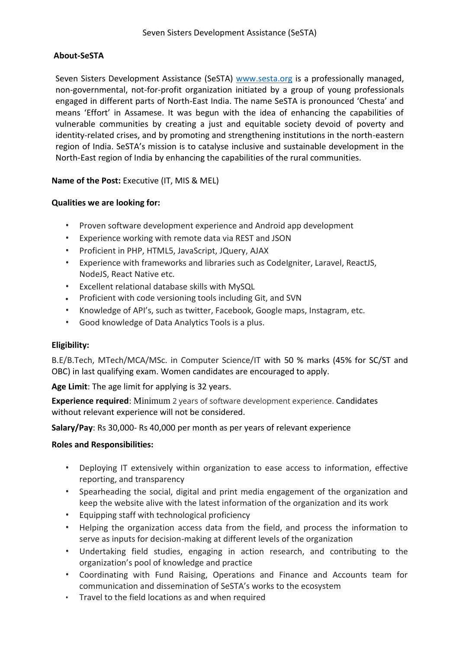## **About-SeSTA**

Seven Sisters Development Assistance (SeSTA) [www.sesta.org](http://www.sesta.org/) is a professionally managed, non-governmental, not-for-profit organization initiated by a group of young professionals engaged in different parts of North-East India. The name SeSTA is pronounced 'Chesta' and means 'Effort' in Assamese. It was begun with the idea of enhancing the capabilities of vulnerable communities by creating a just and equitable society devoid of poverty and identity-related crises, and by promoting and strengthening institutions in the north-eastern region of India. SeSTA's mission is to catalyse inclusive and sustainable development in the North-East region of India by enhancing the capabilities of the rural communities.

## **Name of the Post:** Executive (IT, MIS & MEL)

### **Qualities we are looking for:**

- Proven software development experience and Android app development
- Experience working with remote data via REST and JSON
- Proficient in PHP, HTML5, JavaScript, JQuery, AJAX
- Experience with frameworks and libraries such as CodeIgniter, Laravel, ReactJS, NodeJS, React Native etc.
- Excellent relational database skills with MySQL
- Proficient with code versioning tools including Git, and SVN
- Knowledge of API's, such as twitter, Facebook, Google maps, Instagram, etc.
- Good knowledge of Data Analytics Tools is a plus.

## **Eligibility:**

B.E/B.Tech, MTech/MCA/MSc. in Computer Science/IT with 50 % marks (45% for SC/ST and OBC) in last qualifying exam. Women candidates are encouraged to apply.

**Age Limit**: The age limit for applying is 32 years.

**Experience required**: Minimum 2 years of software development experience. Candidates without relevant experience will not be considered.

**Salary/Pay**: Rs 30,000- Rs 40,000 per month as per years of relevant experience

### **Roles and Responsibilities:**

- Deploying IT extensively within organization to ease access to information, effective reporting, and transparency
- Spearheading the social, digital and print media engagement of the organization and keep the website alive with the latest information of the organization and its work
- Equipping staff with technological proficiency
- Helping the organization access data from the field, and process the information to serve as inputs for decision-making at different levels of the organization
- Undertaking field studies, engaging in action research, and contributing to the organization's pool of knowledge and practice
- Coordinating with Fund Raising, Operations and Finance and Accounts team for communication and dissemination of SeSTA's works to the ecosystem
- Travel to the field locations as and when required